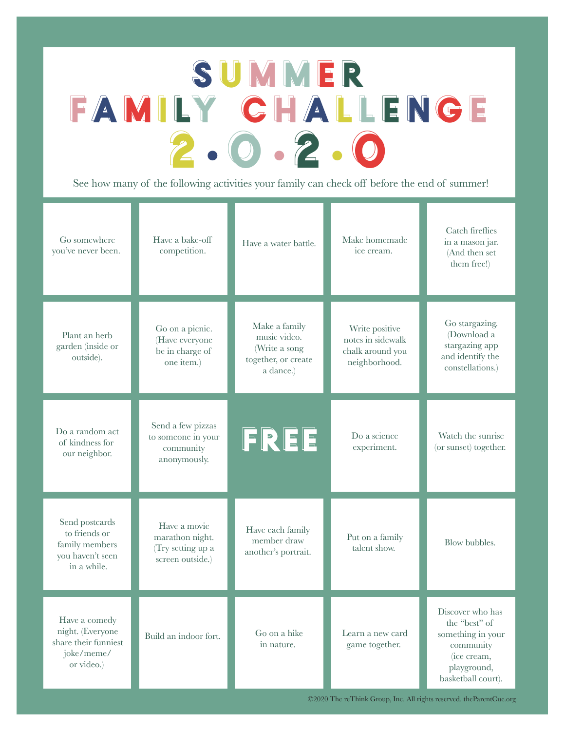## **SUMMER** FAMILY CHALLENGE 2 • 0 • 2 • 0

See how many of the following activities your family can check off before the end of summer!

| Go somewhere<br>you've never been.                                                    | Have a bake-off<br>competition.                                          | Have a water battle.                                                               | Make homemade<br>ice cream.                                              | Catch fireflies<br>in a mason jar.<br>(And then set<br>them free!)                                                      |
|---------------------------------------------------------------------------------------|--------------------------------------------------------------------------|------------------------------------------------------------------------------------|--------------------------------------------------------------------------|-------------------------------------------------------------------------------------------------------------------------|
| Plant an herb<br>garden (inside or<br>outside).                                       | Go on a picnic.<br>(Have everyone<br>be in charge of<br>one item.)       | Make a family<br>music video.<br>(Write a song<br>together, or create<br>a dance.) | Write positive<br>notes in sidewalk<br>chalk around you<br>neighborhood. | Go stargazing.<br>(Download a<br>stargazing app<br>and identify the<br>constellations.)                                 |
| Do a random act<br>of kindness for<br>our neighbor.                                   | Send a few pizzas<br>to someone in your<br>community<br>anonymously.     | FREE                                                                               | Do a science<br>experiment.                                              | Watch the sunrise<br>(or sunset) together.                                                                              |
| Send postcards<br>to friends or<br>family members<br>you haven't seen<br>in a while.  | Have a movie<br>marathon night.<br>(Try setting up a<br>screen outside.) | Have each family<br>member draw<br>another's portrait.                             | Put on a family<br>talent show.                                          | Blow bubbles.                                                                                                           |
| Have a comedy<br>night. (Everyone<br>share their funniest<br>joke/meme/<br>or video.) | Build an indoor fort.                                                    | Go on a hike<br>in nature.                                                         | Learn a new card<br>game together.                                       | Discover who has<br>the "best" of<br>something in your<br>community<br>(ice cream,<br>playground,<br>basketball court). |

©2020 The reThink Group, Inc. All rights reserved. theParentCue.org